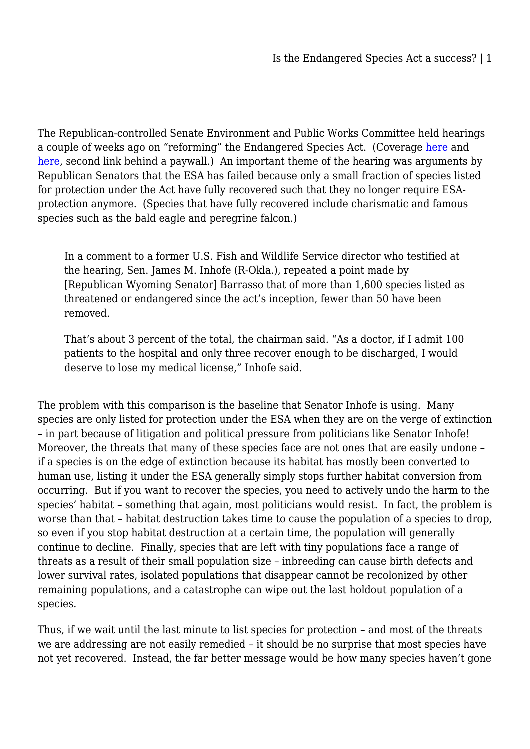The Republican-controlled Senate Environment and Public Works Committee held hearings a couple of weeks ago on "reforming" the Endangered Species Act. (Coverage [here](https://www.washingtonpost.com/news/energy-environment/wp/2017/02/15/the-endangered-species-act-may-be-heading-for-the-threatened-list-this-hearing-confirmed-it/?utm_term=.19835a5ee152) and [here](http://www.eenews.net/greenwire/2017/02/15/stories/1060050119), second link behind a paywall.) An important theme of the hearing was arguments by Republican Senators that the ESA has failed because only a small fraction of species listed for protection under the Act have fully recovered such that they no longer require ESAprotection anymore. (Species that have fully recovered include charismatic and famous species such as the bald eagle and peregrine falcon.)

In a comment to a former U.S. Fish and Wildlife Service director who testified at the hearing, Sen. James M. Inhofe (R-Okla.), repeated a point made by [Republican Wyoming Senator] Barrasso that of more than 1,600 species listed as threatened or endangered since the act's inception, fewer than 50 have been removed.

That's about 3 percent of the total, the chairman said. "As a doctor, if I admit 100 patients to the hospital and only three recover enough to be discharged, I would deserve to lose my medical license," Inhofe said.

The problem with this comparison is the baseline that Senator Inhofe is using. Many species are only listed for protection under the ESA when they are on the verge of extinction – in part because of litigation and political pressure from politicians like Senator Inhofe! Moreover, the threats that many of these species face are not ones that are easily undone – if a species is on the edge of extinction because its habitat has mostly been converted to human use, listing it under the ESA generally simply stops further habitat conversion from occurring. But if you want to recover the species, you need to actively undo the harm to the species' habitat – something that again, most politicians would resist. In fact, the problem is worse than that – habitat destruction takes time to cause the population of a species to drop, so even if you stop habitat destruction at a certain time, the population will generally continue to decline. Finally, species that are left with tiny populations face a range of threats as a result of their small population size – inbreeding can cause birth defects and lower survival rates, isolated populations that disappear cannot be recolonized by other remaining populations, and a catastrophe can wipe out the last holdout population of a species.

Thus, if we wait until the last minute to list species for protection – and most of the threats we are addressing are not easily remedied – it should be no surprise that most species have not yet recovered. Instead, the far better message would be how many species haven't gone